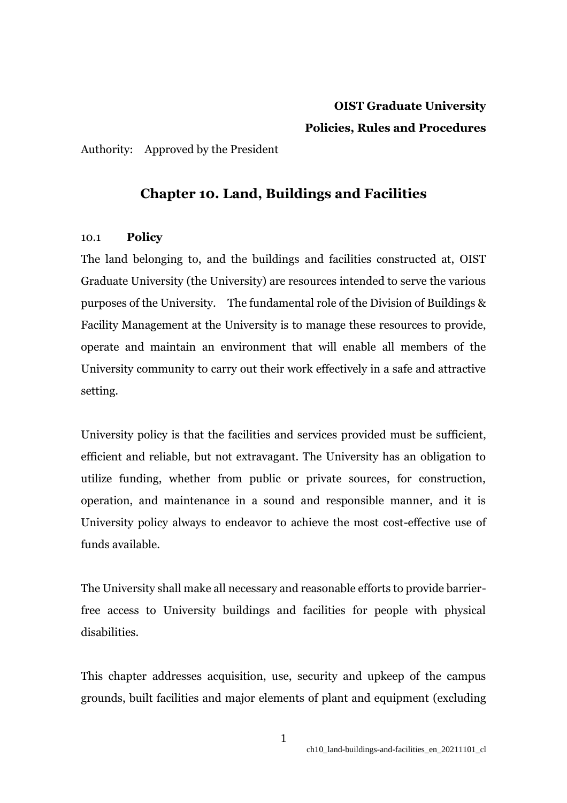# **OIST Graduate University Policies, Rules and Procedures**

Authority: Approved by the President

# **Chapter 10. Land, Buildings and Facilities**

# 10.1 **Policy**

The land belonging to, and the buildings and facilities constructed at, OIST Graduate University (the University) are resources intended to serve the various purposes of the University. The fundamental role of the Division of Buildings & Facility Management at the University is to manage these resources to provide, operate and maintain an environment that will enable all members of the University community to carry out their work effectively in a safe and attractive setting.

University policy is that the facilities and services provided must be sufficient, efficient and reliable, but not extravagant. The University has an obligation to utilize funding, whether from public or private sources, for construction, operation, and maintenance in a sound and responsible manner, and it is University policy always to endeavor to achieve the most cost-effective use of funds available.

The University shall make all necessary and reasonable efforts to provide barrierfree access to University buildings and facilities for people with physical disabilities.

This chapter addresses acquisition, use, security and upkeep of the campus grounds, built facilities and major elements of plant and equipment (excluding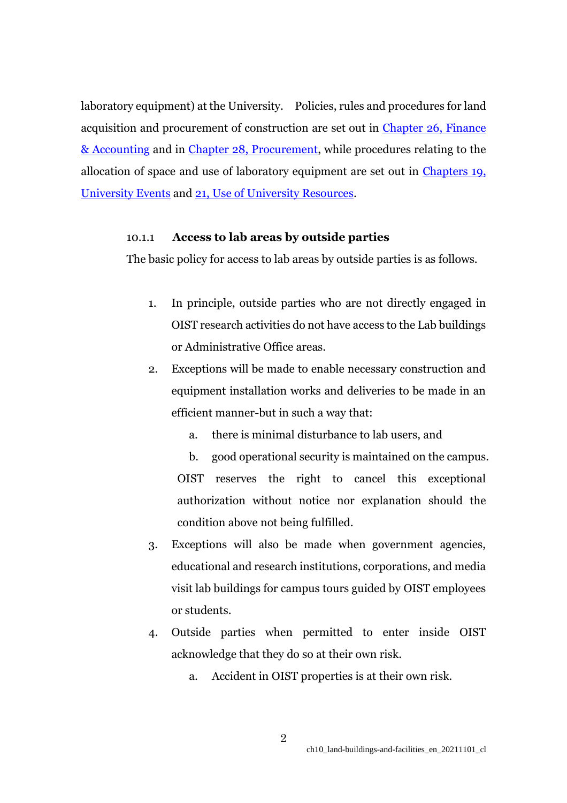laboratory equipment) at the University. Policies, rules and procedures for land acquisition and procurement of construction are set out in Chapter 26, Finance [& Accounting](https://www.oist.jp/policy-library/26) and in [Chapter 28, Procurement,](https://www.oist.jp/policy-library/28) while procedures relating to the allocation of space and use of laboratory equipment are set out in [Chapters 19,](https://www.oist.jp/policy-library/19)  [University Events](https://www.oist.jp/policy-library/19) and [21, Use of University Resources.](https://www.oist.jp/policy-library/21)

# 10.1.1 **Access to lab areas by outside parties**

The basic policy for access to lab areas by outside parties is as follows.

- 1. In principle, outside parties who are not directly engaged in OIST research activities do not have access to the Lab buildings or Administrative Office areas.
- 2. Exceptions will be made to enable necessary construction and equipment installation works and deliveries to be made in an efficient manner-but in such a way that:
	- a. there is minimal disturbance to lab users, and

b. good operational security is maintained on the campus. OIST reserves the right to cancel this exceptional authorization without notice nor explanation should the condition above not being fulfilled.

- 3. Exceptions will also be made when government agencies, educational and research institutions, corporations, and media visit lab buildings for campus tours guided by OIST employees or students.
- 4. Outside parties when permitted to enter inside OIST acknowledge that they do so at their own risk.
	- a. Accident in OIST properties is at their own risk.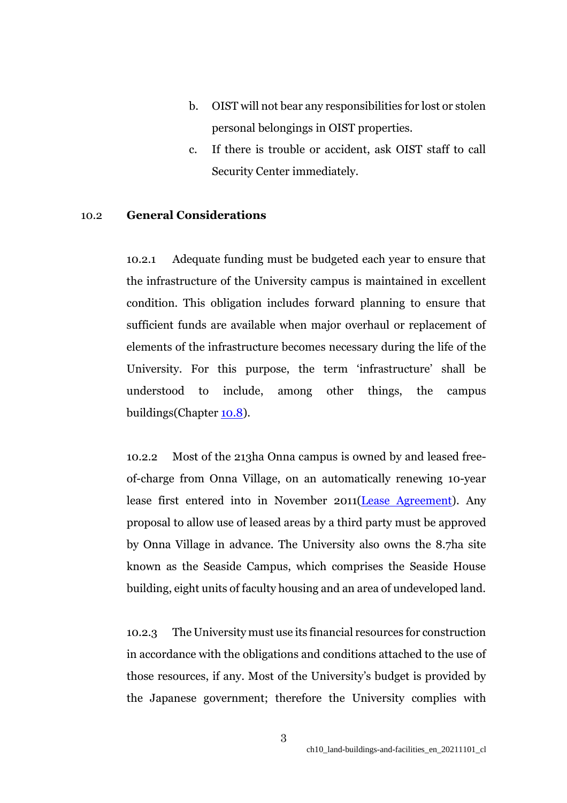- b. OIST will not bear any responsibilities for lost or stolen personal belongings in OIST properties.
- c. If there is trouble or accident, ask OIST staff to call Security Center immediately.

## 10.2 **General Considerations**

10.2.1 Adequate funding must be budgeted each year to ensure that the infrastructure of the University campus is maintained in excellent condition. This obligation includes forward planning to ensure that sufficient funds are available when major overhaul or replacement of elements of the infrastructure becomes necessary during the life of the University. For this purpose, the term 'infrastructure' shall be understood to include, among other things, the campus buildings(Chapter [10.8\)](https://www.oist.jp/policy-library/10.8).

10.2.2 Most of the 213ha Onna campus is owned by and leased freeof-charge from Onna Village, on an automatically renewing 10-year lease first entered into in November 2011[\(Lease Agreement\)](https://www.oist.jp/policy-library/10.2.2). Any proposal to allow use of leased areas by a third party must be approved by Onna Village in advance. The University also owns the 8.7ha site known as the Seaside Campus, which comprises the Seaside House building, eight units of faculty housing and an area of undeveloped land.

10.2.3 The University must use its financial resources for construction in accordance with the obligations and conditions attached to the use of those resources, if any. Most of the University's budget is provided by the Japanese government; therefore the University complies with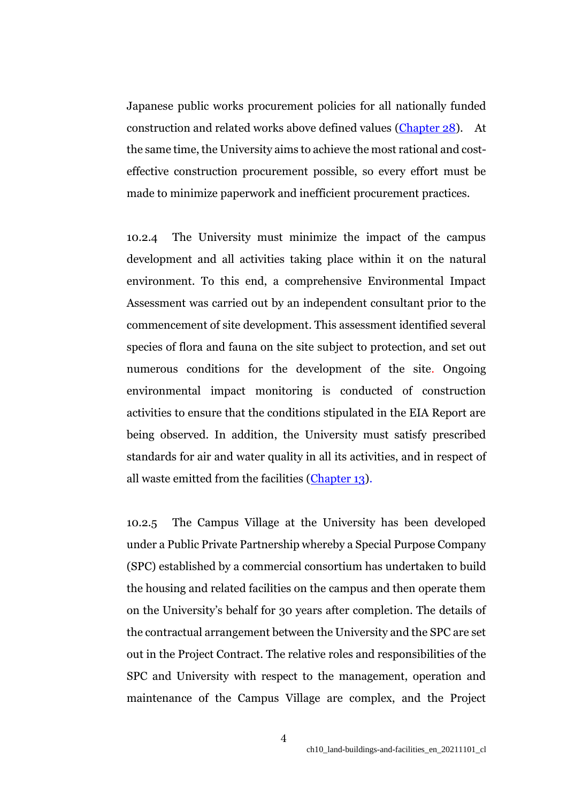Japanese public works procurement policies for all nationally funded construction and related works above defined values [\(Chapter 28\)](https://www.oist.jp/policy-library/28). At the same time, the University aims to achieve the most rational and costeffective construction procurement possible, so every effort must be made to minimize paperwork and inefficient procurement practices.

10.2.4 The University must minimize the impact of the campus development and all activities taking place within it on the natural environment. To this end, a comprehensive Environmental Impact Assessment was carried out by an independent consultant prior to the commencement of site development. This assessment identified several species of flora and fauna on the site subject to protection, and set out numerous conditions for the development of the site. Ongoing environmental impact monitoring is conducted of construction activities to ensure that the conditions stipulated in the EIA Report are being observed. In addition, the University must satisfy prescribed standards for air and water quality in all its activities, and in respect of all waste emitted from the facilities [\(Chapter 13\)](https://www.oist.jp/policy-library/13).

10.2.5 The Campus Village at the University has been developed under a Public Private Partnership whereby a Special Purpose Company (SPC) established by a commercial consortium has undertaken to build the housing and related facilities on the campus and then operate them on the University's behalf for 30 years after completion. The details of the contractual arrangement between the University and the SPC are set out in the Project Contract. The relative roles and responsibilities of the SPC and University with respect to the management, operation and maintenance of the Campus Village are complex, and the Project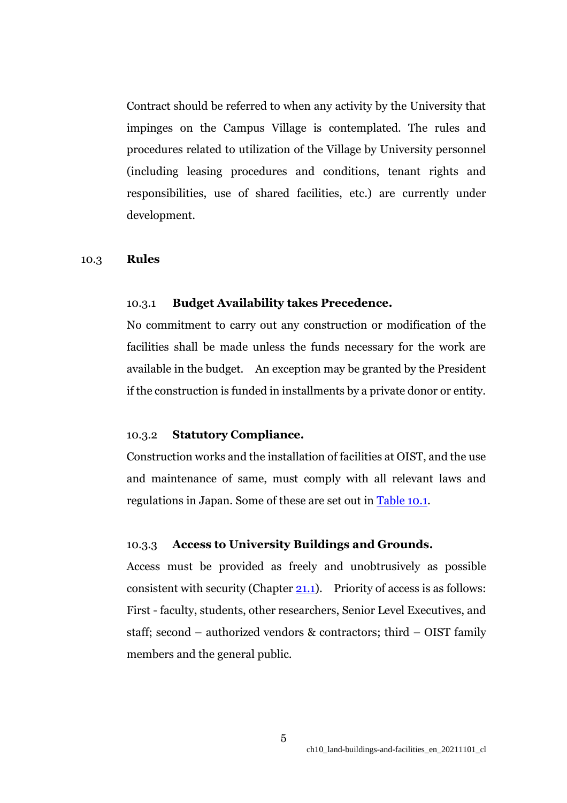Contract should be referred to when any activity by the University that impinges on the Campus Village is contemplated. The rules and procedures related to utilization of the Village by University personnel (including leasing procedures and conditions, tenant rights and responsibilities, use of shared facilities, etc.) are currently under development.

#### 10.3 **Rules**

#### 10.3.1 **Budget Availability takes Precedence.**

No commitment to carry out any construction or modification of the facilities shall be made unless the funds necessary for the work are available in the budget. An exception may be granted by the President if the construction is funded in installments by a private donor or entity.

## 10.3.2 **Statutory Compliance.**

Construction works and the installation of facilities at OIST, and the use and maintenance of same, must comply with all relevant laws and regulations in Japan. Some of these are set out in **Table 10.1**.

## 10.3.3 **Access to University Buildings and Grounds.**

Access must be provided as freely and unobtrusively as possible consistent with security (Chapter  $21.1$ ). Priority of access is as follows: First - faculty, students, other researchers, Senior Level Executives, and staff; second – authorized vendors & contractors; third – OIST family members and the general public.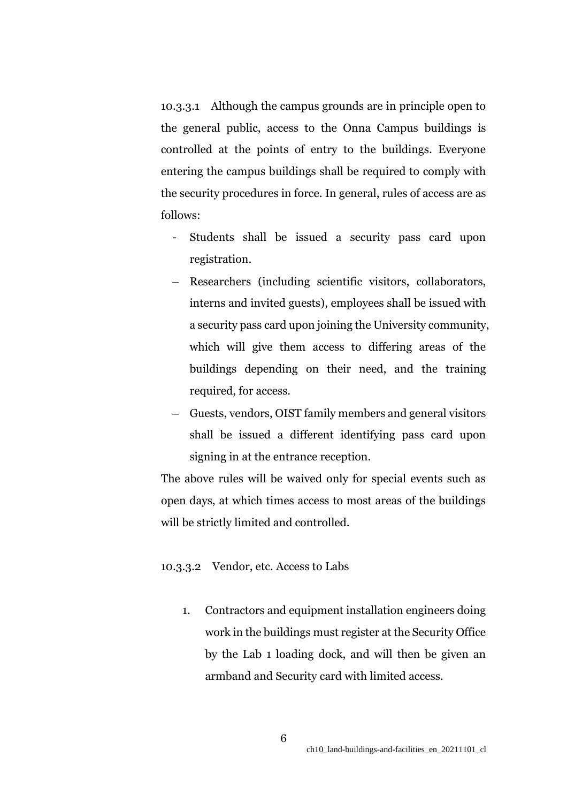10.3.3.1 Although the campus grounds are in principle open to the general public, access to the Onna Campus buildings is controlled at the points of entry to the buildings. Everyone entering the campus buildings shall be required to comply with the security procedures in force. In general, rules of access are as follows:

- Students shall be issued a security pass card upon registration.
- Researchers (including scientific visitors, collaborators, interns and invited guests), employees shall be issued with a security pass card upon joining the University community, which will give them access to differing areas of the buildings depending on their need, and the training required, for access.
- Guests, vendors, OIST family members and general visitors shall be issued a different identifying pass card upon signing in at the entrance reception.

The above rules will be waived only for special events such as open days, at which times access to most areas of the buildings will be strictly limited and controlled.

#### 10.3.3.2 Vendor, etc. Access to Labs

1. Contractors and equipment installation engineers doing work in the buildings must register at the Security Office by the Lab 1 loading dock, and will then be given an armband and Security card with limited access.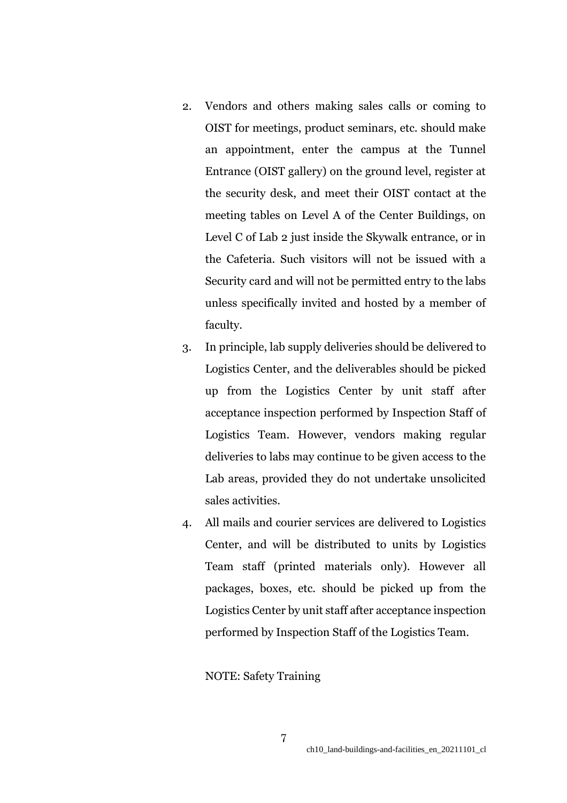- 2. Vendors and others making sales calls or coming to OIST for meetings, product seminars, etc. should make an appointment, enter the campus at the Tunnel Entrance (OIST gallery) on the ground level, register at the security desk, and meet their OIST contact at the meeting tables on Level A of the Center Buildings, on Level C of Lab 2 just inside the Skywalk entrance, or in the Cafeteria. Such visitors will not be issued with a Security card and will not be permitted entry to the labs unless specifically invited and hosted by a member of faculty.
- 3. In principle, lab supply deliveries should be delivered to Logistics Center, and the deliverables should be picked up from the Logistics Center by unit staff after acceptance inspection performed by Inspection Staff of Logistics Team. However, vendors making regular deliveries to labs may continue to be given access to the Lab areas, provided they do not undertake unsolicited sales activities.
- 4. All mails and courier services are delivered to Logistics Center, and will be distributed to units by Logistics Team staff (printed materials only). However all packages, boxes, etc. should be picked up from the Logistics Center by unit staff after acceptance inspection performed by Inspection Staff of the Logistics Team.

NOTE: Safety Training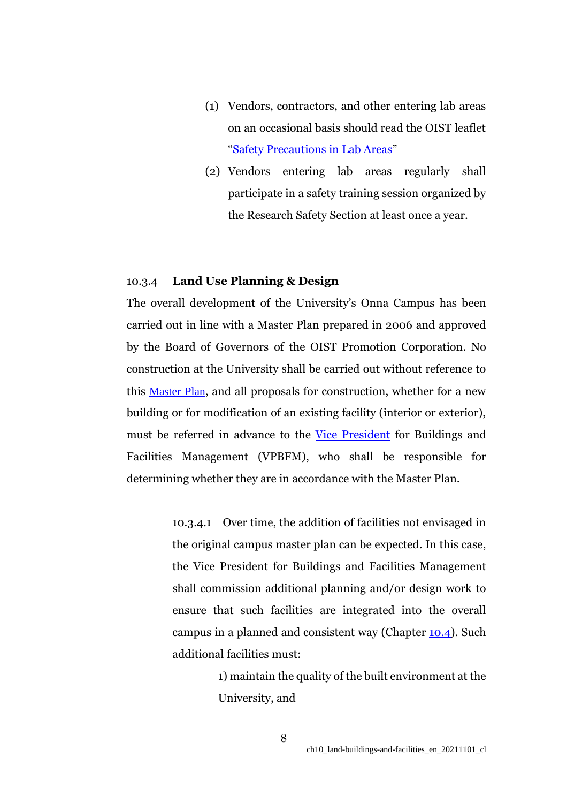- (1) Vendors, contractors, and other entering lab areas on an occasional basis should read the OIST leaflet "[Safety Precautions in Lab Areas](https://groups.oist.jp/rs)"
- (2) Vendors entering lab areas regularly shall participate in a safety training session organized by the Research Safety Section at least once a year.

### 10.3.4 **Land Use Planning & Design**

The overall development of the University's Onna Campus has been carried out in line with a Master Plan prepared in 2006 and approved by the Board of Governors of the OIST Promotion Corporation. No construction at the University shall be carried out without reference to this [Master Plan](https://www.oist.jp/master-plan-0), and all proposals for construction, whether for a new building or for modification of an existing facility (interior or exterior), must be referred in advance to the [Vice President](https://www.oist.jp/policy-library/2.4.5) for Buildings and Facilities Management (VPBFM), who shall be responsible for determining whether they are in accordance with the Master Plan.

> 10.3.4.1 Over time, the addition of facilities not envisaged in the original campus master plan can be expected. In this case, the Vice President for Buildings and Facilities Management shall commission additional planning and/or design work to ensure that such facilities are integrated into the overall campus in a planned and consistent way (Chapter [10.4\)](https://www.oist.jp/policy-library/10.4). Such additional facilities must:

> > 1) maintain the quality of the built environment at the University, and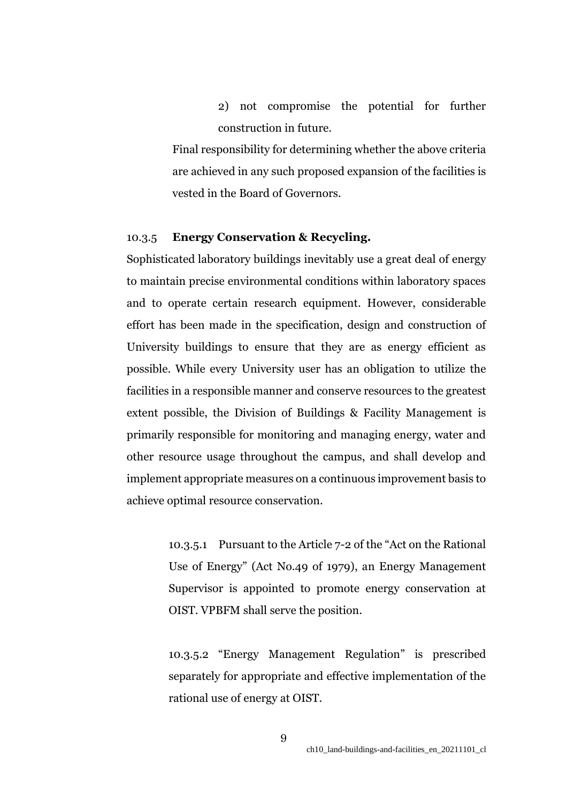2) not compromise the potential for further construction in future.

Final responsibility for determining whether the above criteria are achieved in any such proposed expansion of the facilities is vested in the Board of Governors.

# 10.3.5 **Energy Conservation & Recycling.**

Sophisticated laboratory buildings inevitably use a great deal of energy to maintain precise environmental conditions within laboratory spaces and to operate certain research equipment. However, considerable effort has been made in the specification, design and construction of University buildings to ensure that they are as energy efficient as possible. While every University user has an obligation to utilize the facilities in a responsible manner and conserve resources to the greatest extent possible, the Division of Buildings & Facility Management is primarily responsible for monitoring and managing energy, water and other resource usage throughout the campus, and shall develop and implement appropriate measures on a continuous improvement basis to achieve optimal resource conservation.

> 10.3.5.1 Pursuant to the Article 7-2 of the "Act on the Rational Use of Energy" (Act No.49 of 1979), an Energy Management Supervisor is appointed to promote energy conservation at OIST. VPBFM shall serve the position.

> 10.3.5.2 "[Energy Management Regulation](file:///C:/Temp/(Aug%2002,%202016%20Updated)_エネルギー管理規定_OIST_Energy%20Management%20Regulations和文・英文.docx)" is prescribed separately for appropriate and effective implementation of the rational use of energy at OIST.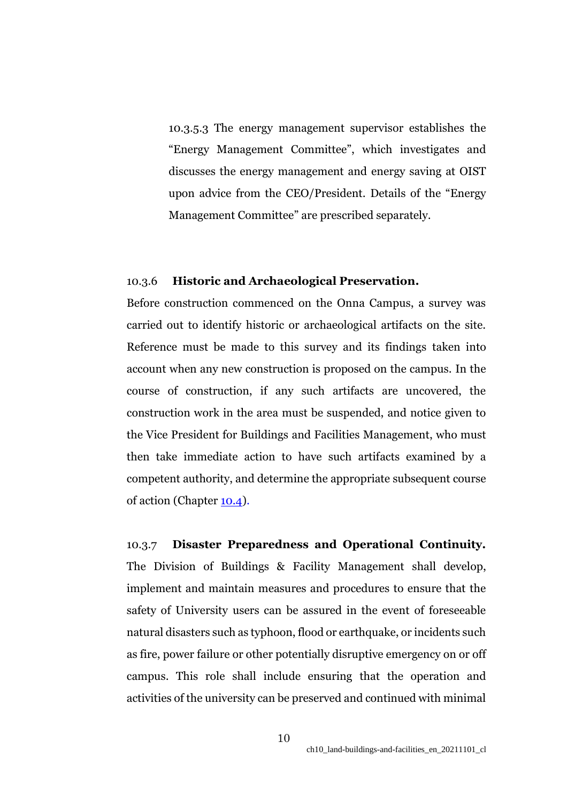10.3.5.3 The energy management supervisor establishes the "Energy Management Committee", which investigates and discusses the energy management and energy saving at OIST upon advice from the CEO/President. Details of the "[Energy](file:///C:/Temp/(Aug%2002,2016%20Updated)_省エネルギー推進委員会規定_OIST_Energy%20Saving%20Promotion%20Committee%20和文・英文.docx)  [Management Committee](file:///C:/Temp/(Aug%2002,2016%20Updated)_省エネルギー推進委員会規定_OIST_Energy%20Saving%20Promotion%20Committee%20和文・英文.docx)" are prescribed separately.

# 10.3.6 **Historic and Archaeological Preservation.**

Before construction commenced on the Onna Campus, a survey was carried out to identify historic or archaeological artifacts on the site. Reference must be made to this survey and its findings taken into account when any new construction is proposed on the campus. In the course of construction, if any such artifacts are uncovered, the construction work in the area must be suspended, and notice given to the Vice President for Buildings and Facilities Management, who must then take immediate action to have such artifacts examined by a competent authority, and determine the appropriate subsequent course of action (Chapter [10.4\)](https://www.oist.jp/policy-library/10.4).

10.3.7 **Disaster Preparedness and Operational Continuity.** The Division of Buildings & Facility Management shall develop, implement and maintain measures and procedures to ensure that the safety of University users can be assured in the event of foreseeable natural disasters such as typhoon, flood or earthquake, or incidents such as fire, power failure or other potentially disruptive emergency on or off campus. This role shall include ensuring that the operation and activities of the university can be preserved and continued with minimal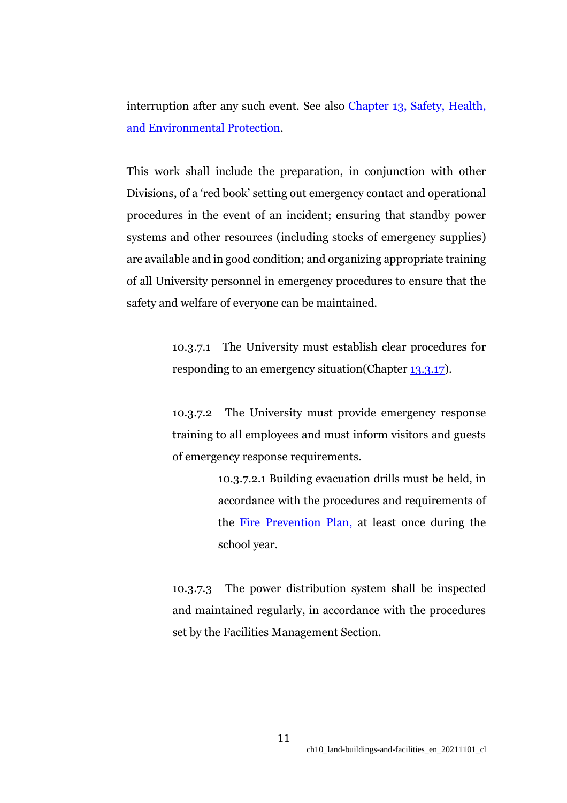interruption after any such event. See also Chapter 13, Safety, Health, [and Environmental Protection.](https://www.oist.jp/policy-library/13)

This work shall include the preparation, in conjunction with other Divisions, of a 'red book' setting out emergency contact and operational procedures in the event of an incident; ensuring that standby power systems and other resources (including stocks of emergency supplies) are available and in good condition; and organizing appropriate training of all University personnel in emergency procedures to ensure that the safety and welfare of everyone can be maintained.

> 10.3.7.1 The University must establish clear procedures for responding to an emergency situation (Chapter [13.3.17\)](https://www.oist.jp/policy-library/13.3.17).

> 10.3.7.2 The University must provide emergency response training to all employees and must inform visitors and guests of emergency response requirements.

> > 10.3.7.2.1 Building evacuation drills must be held, in accordance with the procedures and requirements of the [Fire Prevention Plan,](https://www.oist.jp/sites/default/files/img/%E6%B6%88%E9%98%B2%E8%A8%88%E7%94%BB_%E6%B2%96%E7%B8%84%E7%A7%91%E5%AD%A6%E6%8A%80%E8%A1%93%E5%A4%A7%E5%AD%A6%E9%99%A2%E5%A4%A7%E5%AD%A6%E5%AD%A6%E5%9C%92_PRP10.3.8_Final.pdf) at least once during the school year.

10.3.7.3 The power distribution system shall be inspected and maintained regularly, in accordance with the procedures set by the Facilities Management Section.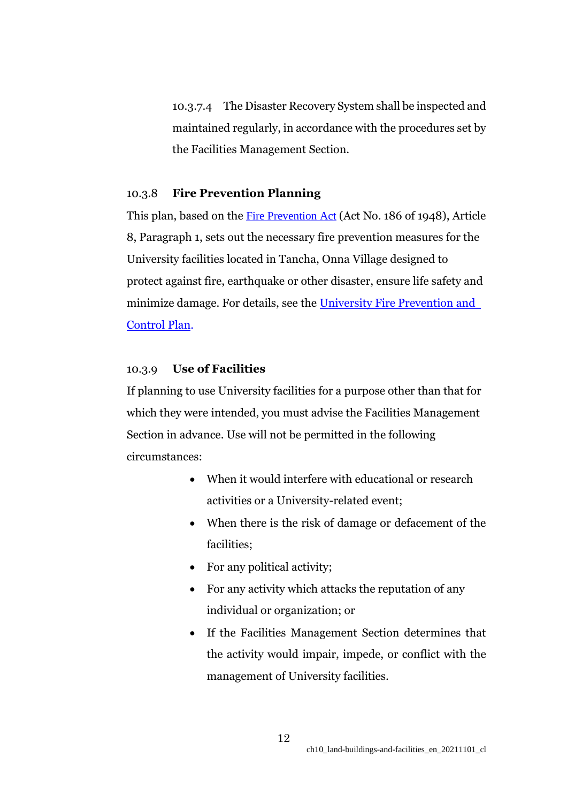10.3.7.4 The Disaster Recovery System shall be inspected and maintained regularly, in accordance with the procedures set by the Facilities Management Section.

# 10.3.8 **Fire Prevention Planning**

This plan, based on the [Fire Prevention Act](http://www.japaneselawtranslation.go.jp/law/detail/?id=1994&vm=04&re=01&new=1) (Act No. 186 of 1948), Article 8, Paragraph 1, sets out the necessary fire prevention measures for the University facilities located in Tancha, Onna Village designed to protect against fire, earthquake or other disaster, ensure life safety and minimize damage. For details, see the University Fire Prevention and [Control Plan.](https://www.oist.jp/sites/default/files/img/%E6%B6%88%E9%98%B2%E8%A8%88%E7%94%BB_%E6%B2%96%E7%B8%84%E7%A7%91%E5%AD%A6%E6%8A%80%E8%A1%93%E5%A4%A7%E5%AD%A6%E9%99%A2%E5%A4%A7%E5%AD%A6%E5%AD%A6%E5%9C%92_PRP10.3.8_Final.pdf)

## 10.3.9 **Use of Facilities**

If planning to use University facilities for a purpose other than that for which they were intended, you must advise the Facilities Management Section in advance. Use will not be permitted in the following circumstances:

- When it would interfere with educational or research activities or a University-related event;
- When there is the risk of damage or defacement of the facilities;
- For any political activity;
- For any activity which attacks the reputation of any individual or organization; or
- If the Facilities Management Section determines that the activity would impair, impede, or conflict with the management of University facilities.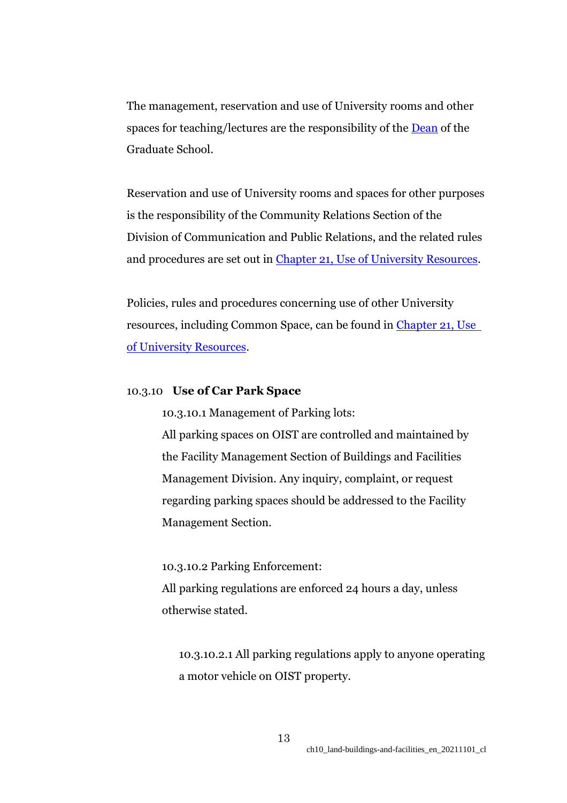The management, reservation and use of University rooms and other spaces for teaching/lectures are the responsibility of the **Dean** of the Graduate School.

Reservation and use of University rooms and spaces for other purposes is the responsibility of the Community Relations Section of the Division of Communication and Public Relations, and the related rules and procedures are set out in Chapter 21, [Use of University Resources.](https://www.oist.jp/policy-library/21)

Policies, rules and procedures concerning use of other University resources, including Common Space, can be found in Chapter 21, Use [of University Resources.](https://www.oist.jp/policy-library/21)

# 10.3.10 **Use of Car Park Space**

10.3.10.1 Management of Parking lots:

All parking spaces on OIST are controlled and maintained by the Facility Management Section of Buildings and Facilities Management Division. Any inquiry, complaint, or request regarding parking spaces should be addressed to the Facility Management Section.

10.3.10.2 Parking Enforcement:

All parking regulations are enforced 24 hours a day, unless otherwise stated.

10.3.10.2.1 All parking regulations apply to anyone operating a motor vehicle on OIST property.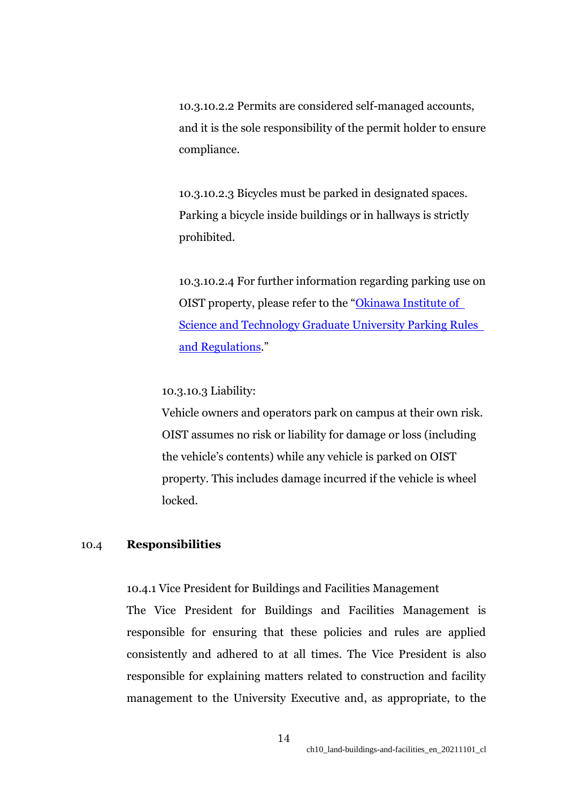10.3.10.2.2 Permits are considered self-managed accounts, and it is the sole responsibility of the permit holder to ensure compliance.

10.3.10.2.3 Bicycles must be parked in designated spaces. Parking a bicycle inside buildings or in hallways is strictly prohibited.

10.3.10.2.4 For further information regarding parking use on OIST property, please refer to the "Okinawa Institute of [Science and Technology Graduate University Parking Rules](https://groups.oist.jp/bfm/parking-rules-and-regulations)  [and Regulations](https://groups.oist.jp/bfm/parking-rules-and-regulations)."

# 10.3.10.3 Liability:

Vehicle owners and operators park on campus at their own risk. OIST assumes no risk or liability for damage or loss (including the vehicle's contents) while any vehicle is parked on OIST property. This includes damage incurred if the vehicle is wheel locked.

## 10.4 **Responsibilities**

10.4.1 Vice President for Buildings and Facilities Management The Vice President for Buildings and Facilities Management is responsible for ensuring that these policies and rules are applied consistently and adhered to at all times. The Vice President is also responsible for explaining matters related to construction and facility management to the University Executive and, as appropriate, to the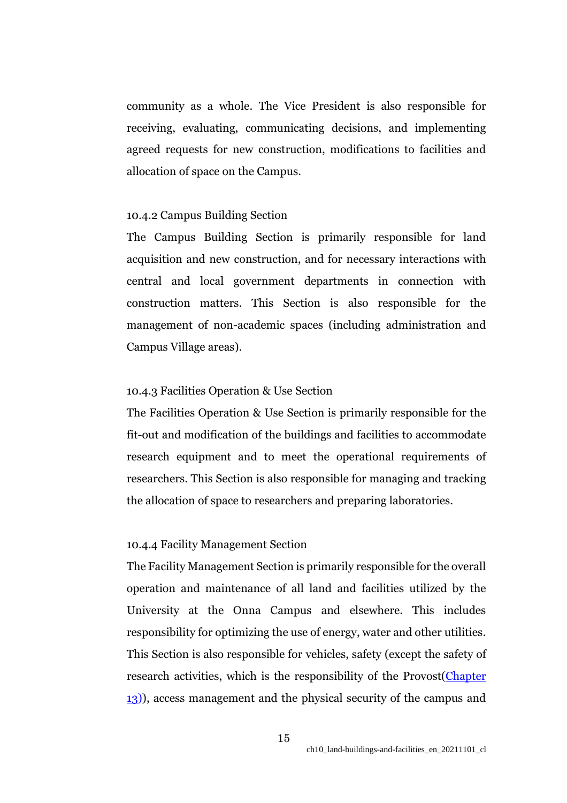community as a whole. The Vice President is also responsible for receiving, evaluating, communicating decisions, and implementing agreed requests for new construction, modifications to facilities and allocation of space on the Campus.

## 10.4.2 Campus Building Section

The Campus Building Section is primarily responsible for land acquisition and new construction, and for necessary interactions with central and local government departments in connection with construction matters. This Section is also responsible for the management of non-academic spaces (including administration and Campus Village areas).

## 10.4.3 Facilities Operation & Use Section

The Facilities Operation & Use Section is primarily responsible for the fit-out and modification of the buildings and facilities to accommodate research equipment and to meet the operational requirements of researchers. This Section is also responsible for managing and tracking the allocation of space to researchers and preparing laboratories.

#### 10.4.4 Facility Management Section

The Facility Management Section is primarily responsible for the overall operation and maintenance of all land and facilities utilized by the University at the Onna Campus and elsewhere. This includes responsibility for optimizing the use of energy, water and other utilities. This Section is also responsible for vehicles, safety (except the safety of research activities, which is the responsibility of the Provost[\(Chapter](https://www.oist.jp/policy-library/13) [13\)](https://www.oist.jp/policy-library/13)), access management and the physical security of the campus and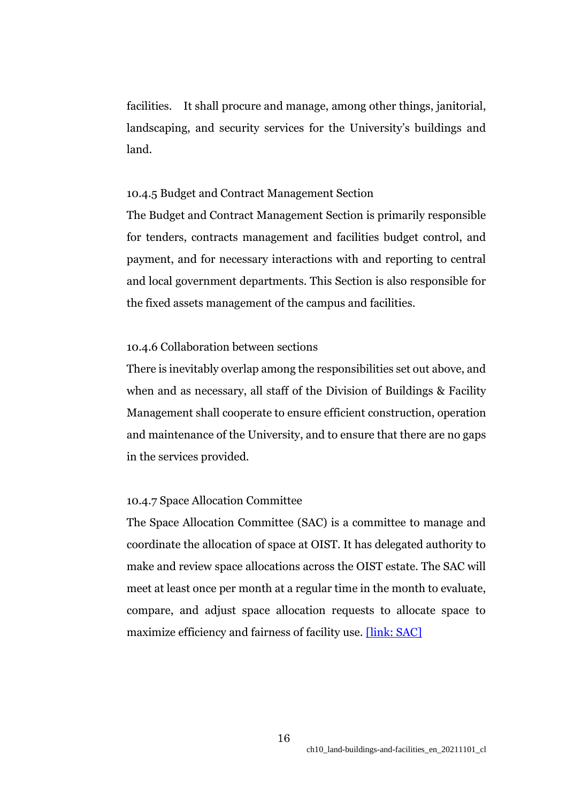facilities. It shall procure and manage, among other things, janitorial, landscaping, and security services for the University's buildings and land.

## 10.4.5 Budget and Contract Management Section

The Budget and Contract Management Section is primarily responsible for tenders, contracts management and facilities budget control, and payment, and for necessary interactions with and reporting to central and local government departments. This Section is also responsible for the fixed assets management of the campus and facilities.

#### 10.4.6 Collaboration between sections

There is inevitably overlap among the responsibilities set out above, and when and as necessary, all staff of the Division of Buildings & Facility Management shall cooperate to ensure efficient construction, operation and maintenance of the University, and to ensure that there are no gaps in the services provided.

#### 10.4.7 Space Allocation Committee

The Space Allocation Committee (SAC) is a committee to manage and coordinate the allocation of space at OIST. It has delegated authority to make and review space allocations across the OIST estate. The SAC will meet at least once per month at a regular time in the month to evaluate, compare, and adjust space allocation requests to allocate space to maximize efficiency and fairness of facility use. [\[link: SAC\]](https://groups.oist.jp/spacecomm)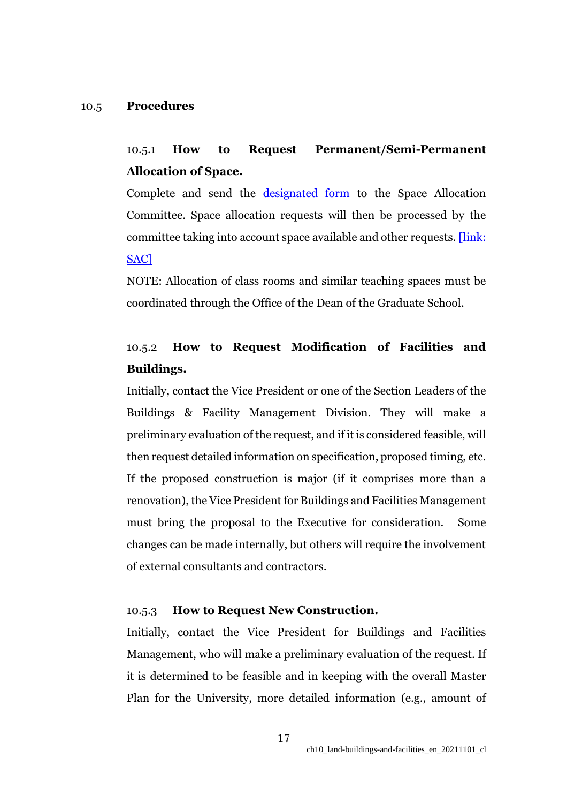#### 10.5 **Procedures**

# 10.5.1 **How to Request Permanent/Semi-Permanent Allocation of Space.**

Complete and send the [designated form](https://groups.oist.jp/bfm/applications) to the Space Allocation Committee. Space allocation requests will then be processed by the committee taking into account space available and other requests. [\[link:](https://groups.oist.jp/spacecomm)  [SAC\]](https://groups.oist.jp/spacecomm)

NOTE: Allocation of class rooms and similar teaching spaces must be coordinated through the Office of the Dean of the Graduate School.

# 10.5.2 **How to Request Modification of Facilities and Buildings.**

Initially, contact the Vice President or one of the Section Leaders of the Buildings & Facility Management Division. They will make a preliminary evaluation of the request, and if it is considered feasible, will then request detailed information on specification, proposed timing, etc. If the proposed construction is major (if it comprises more than a renovation), the Vice President for Buildings and Facilities Management must bring the proposal to the Executive for consideration. Some changes can be made internally, but others will require the involvement of external consultants and contractors.

## 10.5.3 **How to Request New Construction.**

Initially, contact the Vice President for Buildings and Facilities Management, who will make a preliminary evaluation of the request. If it is determined to be feasible and in keeping with the overall Master Plan for the University, more detailed information (e.g., amount of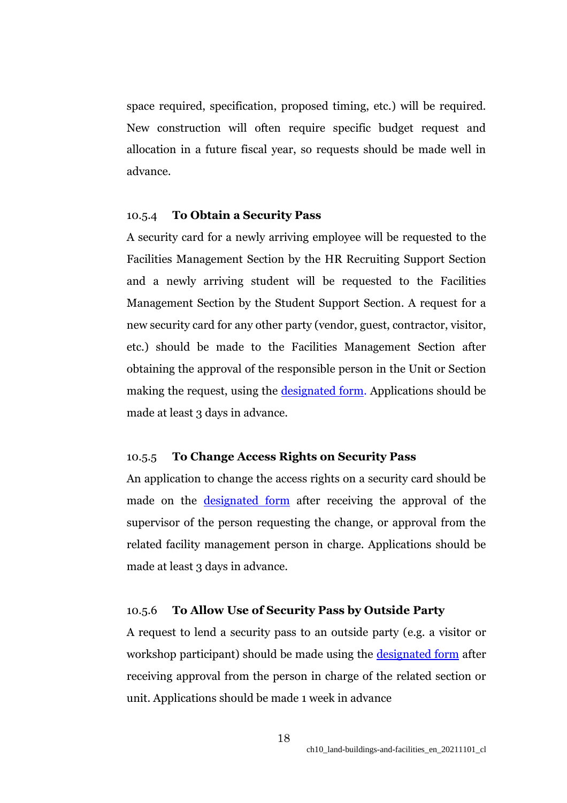space required, specification, proposed timing, etc.) will be required. New construction will often require specific budget request and allocation in a future fiscal year, so requests should be made well in advance.

## 10.5.4 **To Obtain a Security Pass**

A security card for a newly arriving employee will be requested to the Facilities Management Section by the HR Recruiting Support Section and a newly arriving student will be requested to the Facilities Management Section by the Student Support Section. A request for a new security card for any other party (vendor, guest, contractor, visitor, etc.) should be made to the Facilities Management Section after obtaining the approval of the responsible person in the Unit or Section making the request, using the [designated form.](https://groups.oist.jp/bfm/applications) Applications should be made at least 3 days in advance.

# 10.5.5 **To Change Access Rights on Security Pass**

An application to change the access rights on a security card should be made on the [designated form](https://groups.oist.jp/bfm/applications) after receiving the approval of the supervisor of the person requesting the change, or approval from the related facility management person in charge. Applications should be made at least 3 days in advance.

# 10.5.6 **To Allow Use of Security Pass by Outside Party**

A request to lend a security pass to an outside party (e.g. a visitor or workshop participant) should be made using the [designated form](https://groups.oist.jp/bfm/applications) after receiving approval from the person in charge of the related section or unit. Applications should be made 1 week in advance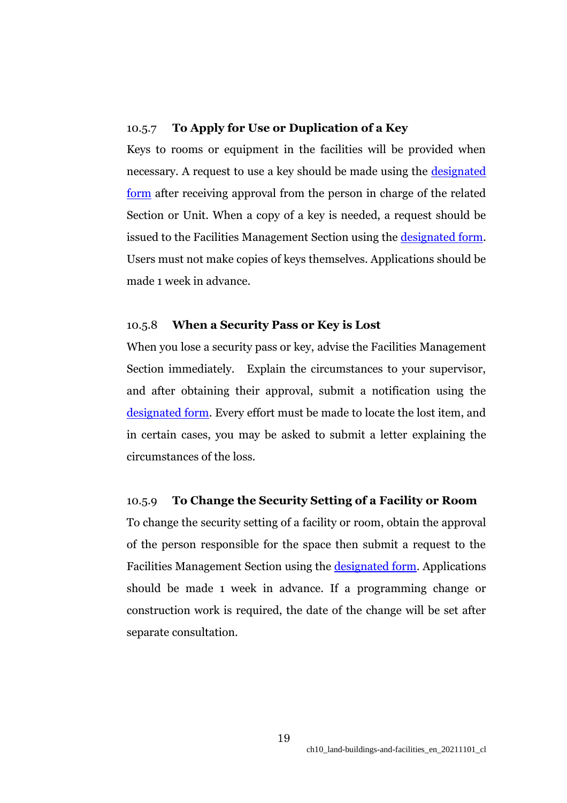# 10.5.7 **To Apply for Use or Duplication of a Key**

Keys to rooms or equipment in the facilities will be provided when necessary. A request to use a key should be made using the [designated](https://groups.oist.jp/bfm/applications)  [form](https://groups.oist.jp/bfm/applications) after receiving approval from the person in charge of the related Section or Unit. When a copy of a key is needed, a request should be issued to the Facilities Management Section using the [designated form.](https://groups.oist.jp/bfm/applications) Users must not make copies of keys themselves. Applications should be made 1 week in advance.

# 10.5.8 **When a Security Pass or Key is Lost**

When you lose a security pass or key, advise the Facilities Management Section immediately. Explain the circumstances to your supervisor, and after obtaining their approval, submit a notification using the [designated form.](https://groups.oist.jp/bfm/applications) Every effort must be made to locate the lost item, and in certain cases, you may be asked to submit a letter explaining the circumstances of the loss.

# 10.5.9 **To Change the Security Setting of a Facility or Room**

To change the security setting of a facility or room, obtain the approval of the person responsible for the space then submit a request to the Facilities Management Section using the [designated form.](https://groups.oist.jp/bfm/applications) Applications should be made 1 week in advance. If a programming change or construction work is required, the date of the change will be set after separate consultation.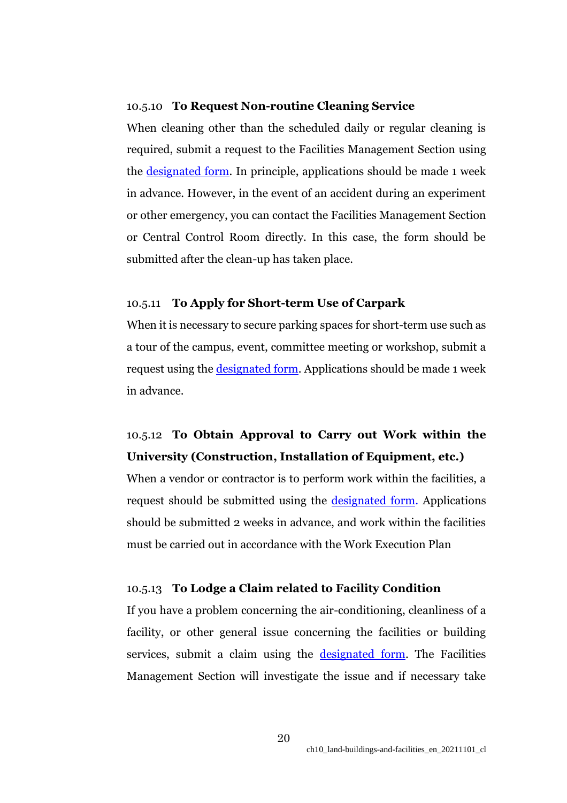## 10.5.10 **To Request Non-routine Cleaning Service**

When cleaning other than the scheduled daily or regular cleaning is required, submit a request to the Facilities Management Section using the [designated form.](https://groups.oist.jp/bfm/applications) In principle, applications should be made 1 week in advance. However, in the event of an accident during an experiment or other emergency, you can contact the Facilities Management Section or Central Control Room directly. In this case, the form should be submitted after the clean-up has taken place.

## 10.5.11 **To Apply for Short-term Use of Carpark**

When it is necessary to secure parking spaces for short-term use such as a tour of the campus, event, committee meeting or workshop, submit a request using the <u>designated form</u>. Applications should be made 1 week in advance.

# 10.5.12 **To Obtain Approval to Carry out Work within the University (Construction, Installation of Equipment, etc.)**

When a vendor or contractor is to perform work within the facilities, a request should be submitted using the [designated form.](https://groups.oist.jp/bfm/applications) Applications should be submitted 2 weeks in advance, and work within the facilities must be carried out in accordance with the Work Execution Plan

#### 10.5.13 **To Lodge a Claim related to Facility Condition**

If you have a problem concerning the air-conditioning, cleanliness of a facility, or other general issue concerning the facilities or building services, submit a claim using the [designated form.](https://groups.oist.jp/bfm/applications) The Facilities Management Section will investigate the issue and if necessary take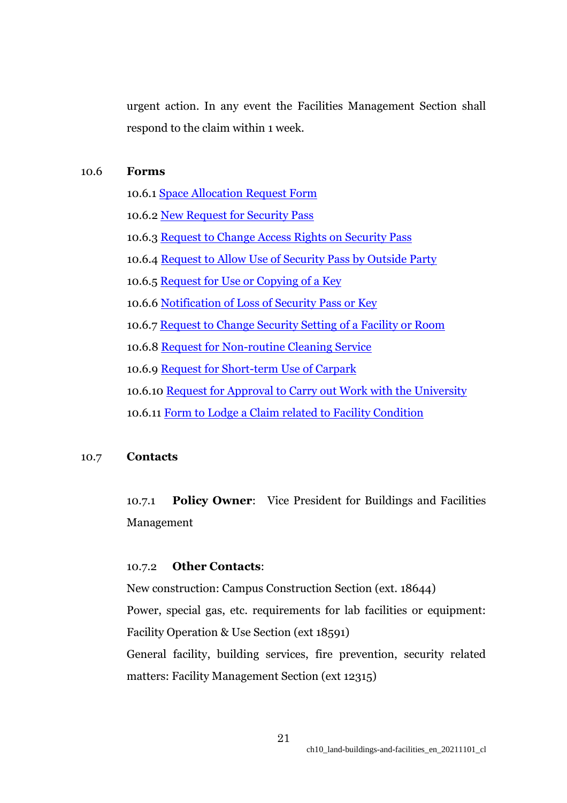urgent action. In any event the Facilities Management Section shall respond to the claim within 1 week.

## 10.6 **Forms**

10.6.1 [Space Allocation Request Form](https://groups.oist.jp/bfm/applications) 10.6.2 [New Request for Security Pass](https://groups.oist.jp/bfm/applications) 10.6.3 [Request to Change Access Rights on Security Pass](https://groups.oist.jp/bfm/applications) 10.6.4 [Request to Allow Use of Security Pass by Outside Party](https://groups.oist.jp/bfm/applications) 10.6.5 [Request for Use or Copying of a Key](https://groups.oist.jp/bfm/applications) 10.6.6 [Notification of Loss of Security Pass or Key](https://groups.oist.jp/bfm/applications) 10.6.7 [Request to Change Security Setting of a Facility or Room](https://groups.oist.jp/bfm/applications) 10.6.8 [Request for Non-routine Cleaning Service](https://groups.oist.jp/bfm/applications) 10.6.9 [Request for Short-term Use of Carpark](https://groups.oist.jp/bfm/applications) 10.6.10 [Request for Approval to Carry out Work with the University](https://groups.oist.jp/bfm/applications) 10.6.11 [Form to Lodge a Claim related to Facility Condition](https://groups.oist.jp/bfm/applications)

# 10.7 **Contacts**

10.7.1 **Policy Owner**: Vice President for Buildings and Facilities Management

## 10.7.2 **Other Contacts**:

New construction: Campus Construction Section (ext. 18644) Power, special gas, etc. requirements for lab facilities or equipment: Facility Operation & Use Section (ext 18591) General facility, building services, fire prevention, security related matters: Facility Management Section (ext 12315)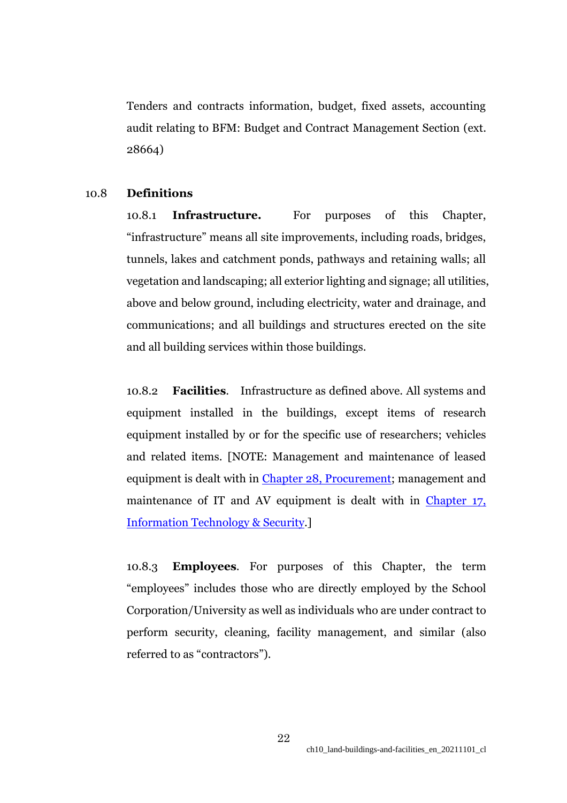Tenders and contracts information, budget, fixed assets, accounting audit relating to BFM: Budget and Contract Management Section (ext. 28664)

# 10.8 **Definitions**

10.8.1 **Infrastructure.** For purposes of this Chapter, "infrastructure" means all site improvements, including roads, bridges, tunnels, lakes and catchment ponds, pathways and retaining walls; all vegetation and landscaping; all exterior lighting and signage; all utilities, above and below ground, including electricity, water and drainage, and communications; and all buildings and structures erected on the site and all building services within those buildings.

10.8.2 **Facilities**. Infrastructure as defined above. All systems and equipment installed in the buildings, except items of research equipment installed by or for the specific use of researchers; vehicles and related items. [NOTE: Management and maintenance of leased equipment is dealt with in [Chapter 28, Procurement;](https://www.oist.jp/policy-library/28) management and maintenance of IT and AV equipment is dealt with in Chapter 17, [Information Technology & Security.](https://www.oist.jp/policy-library/17)]

10.8.3 **Employees**. For purposes of this Chapter, the term "employees" includes those who are directly employed by the School Corporation/University as well as individuals who are under contract to perform security, cleaning, facility management, and similar (also referred to as "contractors").